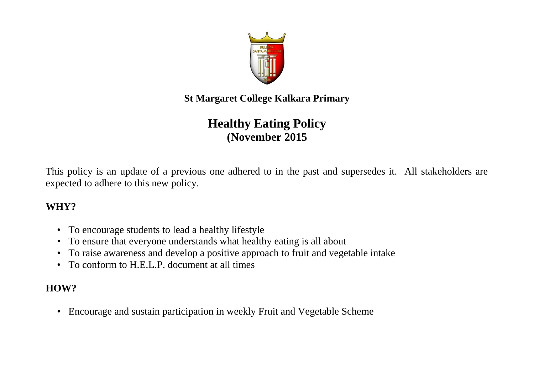

**St Margaret College Kalkara Primary**

# **Healthy Eating Policy (November 2015**

This policy is an update of a previous one adhered to in the past and supersedes it. All stakeholders are expected to adhere to this new policy.

#### **WHY?**

- To encourage students to lead a healthy lifestyle
- To ensure that everyone understands what healthy eating is all about
- To raise awareness and develop a positive approach to fruit and vegetable intake
- To conform to H.E.L.P. document at all times

## **HOW?**

• Encourage and sustain participation in weekly Fruit and Vegetable Scheme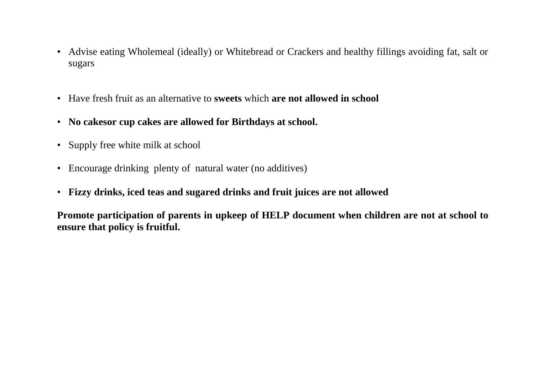- Advise eating Wholemeal (ideally) or Whitebread or Crackers and healthy fillings avoiding fat, salt or sugars
- Have fresh fruit as an alternative to **sweets** which **are not allowed in school**
- **No cakesor cup cakes are allowed for Birthdays at school.**
- Supply free white milk at school
- Encourage drinking plenty of natural water (no additives)
- **Fizzy drinks, iced teas and sugared drinks and fruit juices are not allowed**

**Promote participation of parents in upkeep of HELP document when children are not at school to ensure that policy is fruitful.**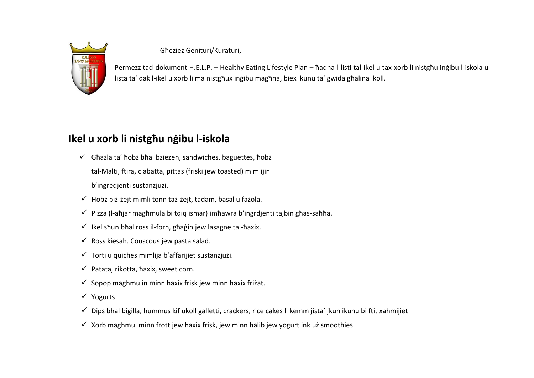

Għeżież Ġenituri/Kuraturi,

Permezz tad-dokument H.E.L.P. – Healthy Eating Lifestyle Plan – ħadna l-listi tal-ikel u tax-xorb li nistgħu inġibu l-iskola u lista ta' dak l-ikel u xorb li ma nistgħux inġibu magħna, biex ikunu ta' gwida għalina lkoll.

### **Ikel u xorb li nistgħu nġibu l-iskola**

- $\checkmark$  Ghażla ta' hobż bhal bziezen, sandwiches, baguettes, hobż tal-Malti, ftira, ciabatta, pittas (friski jew toasted) mimlijin b'ingredjenti sustanzjużi.
- $\checkmark$  Hobż biż-żejt mimli tonn taż-żejt, tadam, basal u fażola.
- $\checkmark$  Pizza (l-aħiar magħmula bi tqiq ismar) imħawra b'ingrdienti taibin għas-saħħa.
- $\checkmark$  Ikel shun bħal ross il-forn, għaġin jew lasagne tal-ħaxix.
- $\checkmark$  Ross kiesaħ. Couscous jew pasta salad.
- $\checkmark$  Torti u quiches mimlija b'affarijiet sustanziużi.
- $\checkmark$  Patata, rikotta, ħaxix, sweet corn.
- $\checkmark$  Sopop magħmulin minn ħaxix frisk jew minn ħaxix friżat.
- Yogurts
- Dips bħal bigilla, ħummus kif ukoll galletti, crackers, rice cakes li kemm jista' jkun ikunu bi ftit xaħmijiet
- $\checkmark$  Xorb maghmul minn frott jew haxix frisk, jew minn halib jew yogurt inkluż smoothies